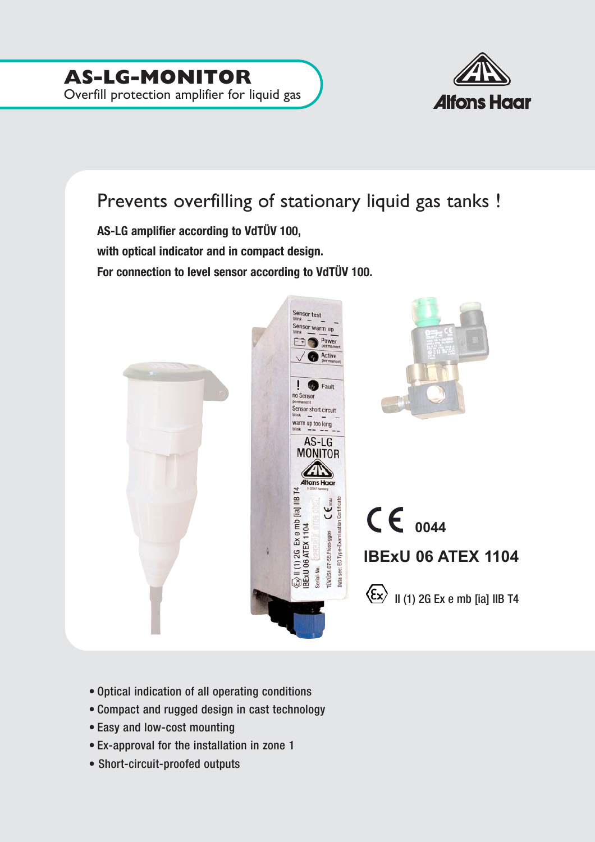

## Prevents overfilling of stationary liquid gas tanks !

**AS-LG amplifier according to VdTÜV 100, with optical indicator and in compact design. For connection to level sensor according to VdTÜV 100.**



- Optical indication of all operating conditions
- Compact and rugged design in cast technology
- Easy and low-cost mounting
- Ex-approval for the installation in zone 1
- Short-circuit-proofed outputs